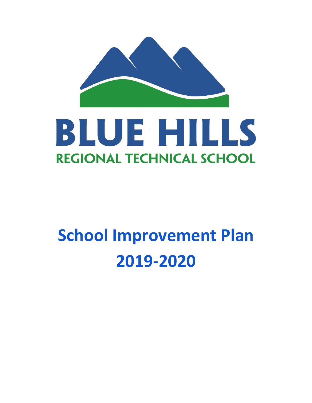

# **School Improvement Plan 2019-2020**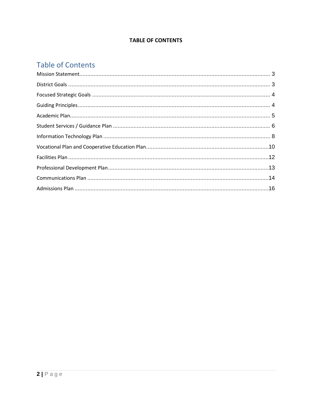#### **TABLE OF CONTENTS**

### **Table of Contents**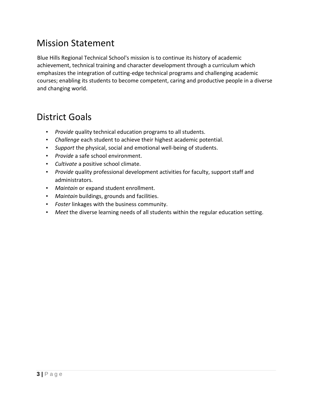### <span id="page-2-0"></span>Mission Statement

Blue Hills Regional Technical School's mission is to continue its history of academic achievement, technical training and character development through a curriculum which emphasizes the integration of cutting-edge technical programs and challenging academic courses; enabling its students to become competent, caring and productive people in a diverse and changing world.

### <span id="page-2-1"></span>District Goals

- *Provide* quality technical education programs to all students.
- *Challenge* each student to achieve their highest academic potential.
- *Support* the physical, social and emotional well-being of students.
- *Provide* a safe school environment.
- *Cultivate* a positive school climate.
- *Provide* quality professional development activities for faculty, support staff and administrators.
- *Maintain* or expand student enrollment.
- *Maintain* buildings, grounds and facilities.
- *Foster* linkages with the business community.
- *Meet* the diverse learning needs of all students within the regular education setting.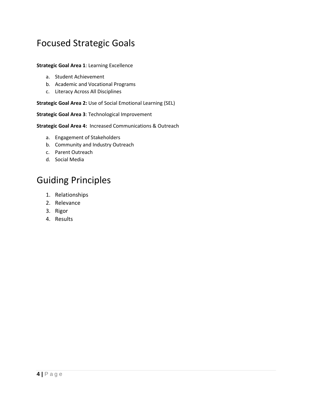### <span id="page-3-0"></span>Focused Strategic Goals

#### **Strategic Goal Area 1**: Learning Excellence

- a. Student Achievement
- b. Academic and Vocational Programs
- c. Literacy Across All Disciplines

#### **Strategic Goal Area 2:** Use of Social Emotional Learning (SEL)

**Strategic Goal Area 3**: Technological Improvement

**Strategic Goal Area 4:** Increased Communications & Outreach

- a. Engagement of Stakeholders
- b. Community and Industry Outreach
- c. Parent Outreach
- d. Social Media

### <span id="page-3-1"></span>Guiding Principles

- 1. Relationships
- 2. Relevance
- 3. Rigor
- 4. Results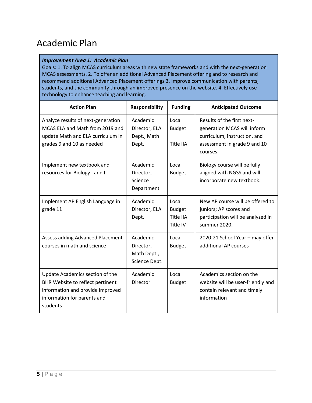### <span id="page-4-0"></span>Academic Plan

#### *Improvement Area 1: Academic Plan*

Goals: 1. To align MCAS curriculum areas with new state frameworks and with the next-generation MCAS assessments. 2. To offer an additional Advanced Placement offering and to research and recommend additional Advanced Placement offerings 3. Improve communication with parents, students, and the community through an improved presence on the website. 4. Effectively use technology to enhance teaching and learning.

| <b>Action Plan</b>                                                                                                                                 | <b>Responsibility</b>                                 | <b>Funding</b>                                  | <b>Anticipated Outcome</b>                                                                                                            |
|----------------------------------------------------------------------------------------------------------------------------------------------------|-------------------------------------------------------|-------------------------------------------------|---------------------------------------------------------------------------------------------------------------------------------------|
| Analyze results of next-generation<br>MCAS ELA and Math from 2019 and<br>update Math and ELA curriculum in<br>grades 9 and 10 as needed            | Academic<br>Director, ELA<br>Dept., Math<br>Dept.     | Local<br><b>Budget</b><br>Title IIA             | Results of the first next-<br>generation MCAS will inform<br>curriculum, instruction, and<br>assessment in grade 9 and 10<br>courses. |
| Implement new textbook and<br>resources for Biology I and II                                                                                       | Academic<br>Director,<br>Science<br>Department        | Local<br><b>Budget</b>                          | Biology course will be fully<br>aligned with NGSS and will<br>incorporate new textbook.                                               |
| Implement AP English Language in<br>grade 11                                                                                                       | Academic<br>Director, ELA<br>Dept.                    | Local<br><b>Budget</b><br>Title IIA<br>Title IV | New AP course will be offered to<br>juniors; AP scores and<br>participation will be analyzed in<br>summer 2020.                       |
| Assess adding Advanced Placement<br>courses in math and science                                                                                    | Academic<br>Director,<br>Math Dept.,<br>Science Dept. | Local<br><b>Budget</b>                          | 2020-21 School Year - may offer<br>additional AP courses                                                                              |
| Update Academics section of the<br>BHR Website to reflect pertinent<br>information and provide improved<br>information for parents and<br>students | Academic<br>Director                                  | Local<br><b>Budget</b>                          | Academics section on the<br>website will be user-friendly and<br>contain relevant and timely<br>information                           |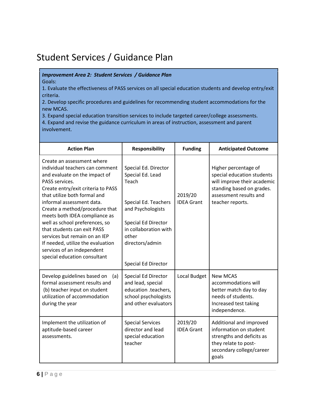### <span id="page-5-0"></span>Student Services / Guidance Plan

*Improvement Area 2: Student Services / Guidance Plan* 

Goals:

1. Evaluate the effectiveness of PASS services on all special education students and develop entry/exit criteria.

2. Develop specific procedures and guidelines for recommending student accommodations for the new MCAS.

3. Expand special education transition services to include targeted career/college assessments.

4. Expand and revise the guidance curriculum in areas of instruction, assessment and parent involvement.

| <b>Action Plan</b>                                                                                                                                                                                                                                                                                                                                                                                                                                                                          | <b>Responsibility</b>                                                                                                                                                                             | <b>Funding</b>               | <b>Anticipated Outcome</b>                                                                                                                                   |
|---------------------------------------------------------------------------------------------------------------------------------------------------------------------------------------------------------------------------------------------------------------------------------------------------------------------------------------------------------------------------------------------------------------------------------------------------------------------------------------------|---------------------------------------------------------------------------------------------------------------------------------------------------------------------------------------------------|------------------------------|--------------------------------------------------------------------------------------------------------------------------------------------------------------|
| Create an assessment where<br>individual teachers can comment<br>and evaluate on the impact of<br>PASS services.<br>Create entry/exit criteria to PASS<br>that utilize both formal and<br>informal assessment data.<br>Create a method/procedure that<br>meets both IDEA compliance as<br>well as school preferences, so<br>that students can exit PASS<br>services but remain on an IEP<br>If needed, utilize the evaluation<br>services of an independent<br>special education consultant | Special Ed. Director<br>Special Ed. Lead<br>Teach<br>Special Ed. Teachers<br>and Psychologists<br>Special Ed Director<br>in collaboration with<br>other<br>directors/admin<br>Special Ed Director | 2019/20<br><b>IDEA Grant</b> | Higher percentage of<br>special education students<br>will improve their academic<br>standing based on grades.<br>assessment results and<br>teacher reports. |
| Develop guidelines based on<br>(a)<br>formal assessment results and<br>(b) teacher input on student<br>utilization of accommodation<br>during the year                                                                                                                                                                                                                                                                                                                                      | Special Ed Director<br>and lead, special<br>education .teachers,<br>school psychologists<br>and other evaluators                                                                                  | Local Budget                 | <b>New MCAS</b><br>accommodations will<br>better match day to day<br>needs of students.<br>Increased test taking<br>independence.                            |
| Implement the utilization of<br>aptitude-based career<br>assessments.                                                                                                                                                                                                                                                                                                                                                                                                                       | <b>Special Services</b><br>director and lead<br>special education<br>teacher                                                                                                                      | 2019/20<br><b>IDEA Grant</b> | Additional and improved<br>information on student<br>strengths and deficits as<br>they relate to post-<br>secondary college/career<br>goals                  |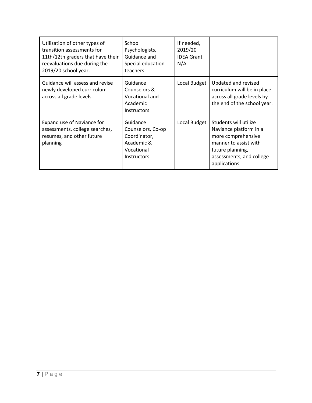| Utilization of other types of<br>transition assessments for<br>11th/12th graders that have their<br>reevaluations due during the<br>2019/20 school year. | School<br>Psychologists,<br>Guidance and<br>Special education<br>teachers                       | If needed,<br>2019/20<br><b>IDFA Grant</b><br>N/A |                                                                                                                                                                 |
|----------------------------------------------------------------------------------------------------------------------------------------------------------|-------------------------------------------------------------------------------------------------|---------------------------------------------------|-----------------------------------------------------------------------------------------------------------------------------------------------------------------|
| Guidance will assess and revise<br>newly developed curriculum<br>across all grade levels.                                                                | Guidance<br>Counselors &<br>Vocational and<br>Academic<br><b>Instructors</b>                    | Local Budget                                      | Updated and revised<br>curriculum will be in place<br>across all grade levels by<br>the end of the school year.                                                 |
| Expand use of Naviance for<br>assessments, college searches,<br>resumes, and other future<br>planning                                                    | Guidance<br>Counselors, Co-op<br>Coordinator,<br>Academic &<br>Vocational<br><b>Instructors</b> | Local Budget                                      | Students will utilize<br>Naviance platform in a<br>more comprehensive<br>manner to assist with<br>future planning,<br>assessments, and college<br>applications. |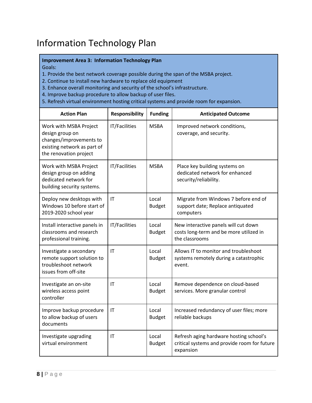### <span id="page-7-0"></span>Information Technology Plan

#### **Improvement Area 3: Information Technology Plan**

Goals:

- 1. Provide the best network coverage possible during the span of the MSBA project.
- 2. Continue to install new hardware to replace old equipment
- 3. Enhance overall monitoring and security of the school's infrastructure.
- 4. Improve backup procedure to allow backup of user files.
- 5. Refresh virtual environment hosting critical systems and provide room for expansion.

| <b>Action Plan</b>                                                                                                            | <b>Responsibility</b> | <b>Funding</b>         | <b>Anticipated Outcome</b>                                                                           |
|-------------------------------------------------------------------------------------------------------------------------------|-----------------------|------------------------|------------------------------------------------------------------------------------------------------|
| Work with MSBA Project<br>design group on<br>changes/improvements to<br>existing network as part of<br>the renovation project | IT/Facilities         | <b>MSBA</b>            | Improved network conditions,<br>coverage, and security.                                              |
| Work with MSBA Project<br>design group on adding<br>dedicated network for<br>building security systems.                       | IT/Facilities         | <b>MSBA</b>            | Place key building systems on<br>dedicated network for enhanced<br>security/reliability.             |
| Deploy new desktops with<br>Windows 10 before start of<br>2019-2020 school year                                               | IT                    | Local<br><b>Budget</b> | Migrate from Windows 7 before end of<br>support date; Replace antiquated<br>computers                |
| Install interactive panels in<br>classrooms and research<br>professional training.                                            | IT/Facilities         | Local<br><b>Budget</b> | New interactive panels will cut down<br>costs long-term and be more utilized in<br>the classrooms    |
| Investigate a secondary<br>remote support solution to<br>troubleshoot network<br>issues from off-site                         | IT                    | Local<br><b>Budget</b> | Allows IT to monitor and troubleshoot<br>systems remotely during a catastrophic<br>event.            |
| Investigate an on-site<br>wireless access point<br>controller                                                                 | IT                    | Local<br><b>Budget</b> | Remove dependence on cloud-based<br>services. More granular control                                  |
| Improve backup procedure<br>to allow backup of users<br>documents                                                             | IT                    | Local<br><b>Budget</b> | Increased redundancy of user files; more<br>reliable backups                                         |
| Investigate upgrading<br>virtual environment                                                                                  | IT                    | Local<br><b>Budget</b> | Refresh aging hardware hosting school's<br>critical systems and provide room for future<br>expansion |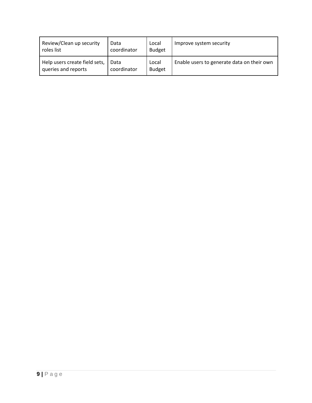| Review/Clean up security      | Data        | Local         | Improve system security                    |
|-------------------------------|-------------|---------------|--------------------------------------------|
| roles list                    | coordinator | <b>Budget</b> |                                            |
| Help users create field sets, | Data        | Local         | Enable users to generate data on their own |
| queries and reports           | coordinator | <b>Budget</b> |                                            |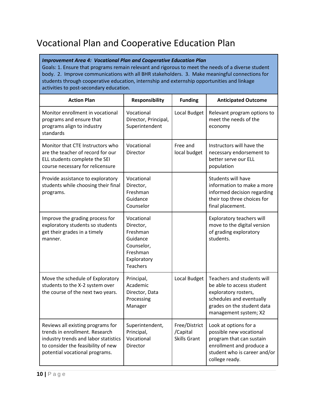## <span id="page-9-0"></span>Vocational Plan and Cooperative Education Plan

#### *Improvement Area 4: Vocational Plan and Cooperative Education Plan*

Goals: 1. Ensure that programs remain relevant and rigorous to meet the needs of a diverse student body. 2. Improve communications with all BHR stakeholders. 3. Make meaningful connections for students through cooperative education, internship and externship opportunities and linkage activities to post-secondary education.

| <b>Action Plan</b>                                                                                                                                                                  | <b>Responsibility</b>                                                                                       | <b>Funding</b>                                   | <b>Anticipated Outcome</b>                                                                                                                                         |
|-------------------------------------------------------------------------------------------------------------------------------------------------------------------------------------|-------------------------------------------------------------------------------------------------------------|--------------------------------------------------|--------------------------------------------------------------------------------------------------------------------------------------------------------------------|
| Monitor enrollment in vocational<br>programs and ensure that<br>programs align to industry<br>standards                                                                             | Vocational<br>Director, Principal,<br>Superintendent                                                        | Local Budget                                     | Relevant program options to<br>meet the needs of the<br>economy                                                                                                    |
| Monitor that CTE Instructors who<br>are the teacher of record for our<br>ELL students complete the SEI<br>course necessary for relicensure                                          | Vocational<br><b>Director</b>                                                                               | Free and<br>local budget                         | Instructors will have the<br>necessary endorsement to<br>better serve our ELL<br>population                                                                        |
| Provide assistance to exploratory<br>students while choosing their final<br>programs.                                                                                               | Vocational<br>Director,<br>Freshman<br>Guidance<br>Counselor                                                |                                                  | Students will have<br>information to make a more<br>informed decision regarding<br>their top three choices for<br>final placement.                                 |
| Improve the grading process for<br>exploratory students so students<br>get their grades in a timely<br>manner.                                                                      | Vocational<br>Director,<br>Freshman<br>Guidance<br>Counselor,<br>Freshman<br>Exploratory<br><b>Teachers</b> |                                                  | Exploratory teachers will<br>move to the digital version<br>of grading exploratory<br>students.                                                                    |
| Move the schedule of Exploratory<br>students to the X-2 system over<br>the course of the next two years.                                                                            | Principal,<br>Academic<br>Director, Data<br>Processing<br>Manager                                           | Local Budget                                     | Teachers and students will<br>be able to access student<br>exploratory rosters,<br>schedules and eventually<br>grades on the student data<br>management system; X2 |
| Reviews all existing programs for<br>trends in enrollment. Research<br>industry trends and labor statistics<br>to consider the feasibility of new<br>potential vocational programs. | Superintendent,<br>Principal,<br>Vocational<br>Director                                                     | Free/District<br>/Capital<br><b>Skills Grant</b> | Look at options for a<br>possible new vocational<br>program that can sustain<br>enrollment and produce a<br>student who is career and/or<br>college ready.         |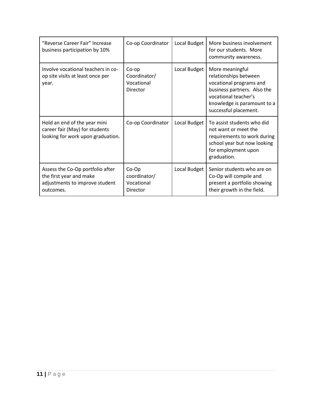| "Reverse Career Fair" Increase<br>business participation by 10%                                            | Co-op Coordinator                                 | Local Budget | More business involvement<br>for our students. More<br>community awareness.                                                                                                        |
|------------------------------------------------------------------------------------------------------------|---------------------------------------------------|--------------|------------------------------------------------------------------------------------------------------------------------------------------------------------------------------------|
| Involve vocational teachers in co-<br>op site visits at least once per<br>year.                            | Co-op<br>Coordinator/<br>Vocational<br>Director   | Local Budget | More meaningful<br>relationships between<br>vocational programs and<br>business partners. Also the<br>vocational teacher's<br>knowledge is paramount to a<br>successful placement. |
| Hold an end of the year mini<br>career fair (May) for students<br>looking for work upon graduation.        | Co-op Coordinator                                 | Local Budget | To assist students who did<br>not want or meet the<br>requirements to work during<br>school year but now looking<br>for employment upon<br>graduation.                             |
| Assess the Co-Op portfolio after<br>the first year and make<br>adjustments to improve student<br>outcomes. | $Co-Op$<br>coordinator/<br>Vocational<br>Director | Local Budget | Senior students who are on<br>Co-Op will compile and<br>present a portfolio showing<br>their growth in the field.                                                                  |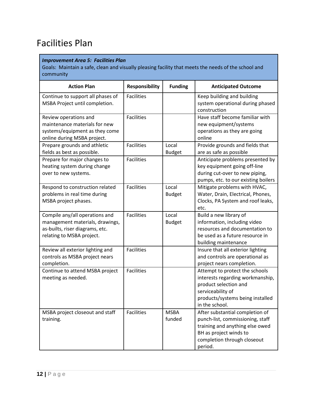### <span id="page-11-0"></span>Facilities Plan

#### *Improvement Area 5: Facilities Plan*

Goals: Maintain a safe, clean and visually pleasing facility that meets the needs of the school and community

| <b>Action Plan</b>                                                                                                                | <b>Responsibility</b> | <b>Funding</b>         | <b>Anticipated Outcome</b>                                                                                                                                                 |
|-----------------------------------------------------------------------------------------------------------------------------------|-----------------------|------------------------|----------------------------------------------------------------------------------------------------------------------------------------------------------------------------|
| Continue to support all phases of<br>MSBA Project until completion.                                                               | <b>Facilities</b>     |                        | Keep building and building<br>system operational during phased<br>construction                                                                                             |
| Review operations and<br>maintenance materials for new<br>systems/equipment as they come<br>online during MSBA project.           | <b>Facilities</b>     |                        | Have staff become familiar with<br>new equipment/systems<br>operations as they are going<br>online                                                                         |
| Prepare grounds and athletic<br>fields as best as possible.                                                                       | <b>Facilities</b>     | Local<br><b>Budget</b> | Provide grounds and fields that<br>are as safe as possible                                                                                                                 |
| Prepare for major changes to<br>heating system during change<br>over to new systems.                                              | <b>Facilities</b>     |                        | Anticipate problems presented by<br>key equipment going off-line<br>during cut-over to new piping,<br>pumps, etc. to our existing boilers                                  |
| Respond to construction related<br>problems in real time during<br>MSBA project phases.                                           | <b>Facilities</b>     | Local<br><b>Budget</b> | Mitigate problems with HVAC,<br>Water, Drain, Electrical, Phones,<br>Clocks, PA System and roof leaks,<br>etc.                                                             |
| Compile any/all operations and<br>management materials, drawings,<br>as-builts, riser diagrams, etc.<br>relating to MSBA project. | <b>Facilities</b>     | Local<br><b>Budget</b> | Build a new library of<br>information, including video<br>resources and documentation to<br>be used as a future resource in<br>building maintenance                        |
| Review all exterior lighting and<br>controls as MSBA project nears<br>completion.                                                 | <b>Facilities</b>     |                        | Insure that all exterior lighting<br>and controls are operational as<br>project nears completion.                                                                          |
| Continue to attend MSBA project<br>meeting as needed.                                                                             | <b>Facilities</b>     |                        | Attempt to protect the schools<br>interests regarding workmanship,<br>product selection and<br>serviceability of<br>products/systems being installed<br>in the school.     |
| MSBA project closeout and staff<br>training.                                                                                      | <b>Facilities</b>     | <b>MSBA</b><br>funded  | After substantial completion of<br>punch-list, commissioning, staff<br>training and anything else owed<br>BH as project winds to<br>completion through closeout<br>period. |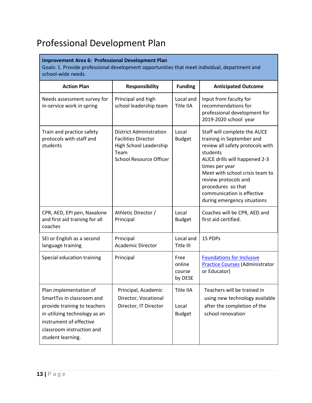## <span id="page-12-0"></span>Professional Development Plan

#### **Improvement Area 6: Professional Development Plan**

Goals: 1. Provide professional development opportunities that meet individual, department and school-wide needs.

| <b>Action Plan</b>                                                                                                                                                                                | <b>Responsibility</b>                                                                                                     | <b>Funding</b>                             | <b>Anticipated Outcome</b>                                                                                                                                                                                                                                                                                   |
|---------------------------------------------------------------------------------------------------------------------------------------------------------------------------------------------------|---------------------------------------------------------------------------------------------------------------------------|--------------------------------------------|--------------------------------------------------------------------------------------------------------------------------------------------------------------------------------------------------------------------------------------------------------------------------------------------------------------|
| Needs assessment survey for<br>in-service work in spring                                                                                                                                          | Principal and high<br>school leadership team                                                                              | Local and<br>Title IIA                     | Input from faculty for<br>recommendations for<br>professional development for<br>2019-2020 school year                                                                                                                                                                                                       |
| Train and practice safety<br>protocols with staff and<br>students                                                                                                                                 | District Administration<br><b>Facilities Director</b><br>High School Leadership<br>Team<br><b>School Resource Officer</b> | Local<br><b>Budget</b>                     | Staff will complete the ALICE<br>training in September and<br>review all safety protocols with<br>students<br>ALICE drills will happened 2-3<br>times per year<br>Meet with school crisis team to<br>review protocols and<br>procedures so that<br>communication is effective<br>during emergency situations |
| CPR, AED, EPI pen, Naxalone<br>and first aid training for all<br>coaches                                                                                                                          | Athletic Director /<br>Principal                                                                                          | Local<br><b>Budget</b>                     | Coaches will be CPR, AED and<br>first aid certified.                                                                                                                                                                                                                                                         |
| SEI or English as a second<br>language training                                                                                                                                                   | Principal<br><b>Academic Director</b>                                                                                     | Local and<br>Title III                     | 15 PDPs                                                                                                                                                                                                                                                                                                      |
| Special education training                                                                                                                                                                        | Principal                                                                                                                 | Free<br>online<br>course<br>by DESE        | <b>Foundations for Inclusive</b><br><b>Practice Courses (Administrator</b><br>or Educator)                                                                                                                                                                                                                   |
| Plan implementation of<br>SmartTvs in classroom and<br>provide training to teachers<br>in utilizing technology as an<br>instrument of effective<br>classroom instruction and<br>student learning. | Principal, Academic<br>Director, Vocational<br>Director, IT Director                                                      | <b>Title IIA</b><br>Local<br><b>Budget</b> | Teachers will be trained in<br>using new technology available<br>after the completion of the<br>school renovation                                                                                                                                                                                            |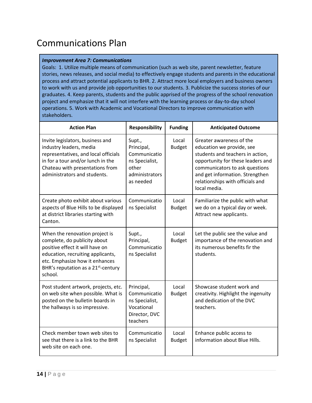### <span id="page-13-0"></span>Communications Plan

#### *Improvement Area 7: Communications*

Goals: 1. Utilize multiple means of communication (such as web site, parent newsletter, feature stories, news releases, and social media) to effectively engage students and parents in the educational process and attract potential applicants to BHR. 2. Attract more local employers and business owners to work with us and provide job opportunities to our students. 3. Publicize the success stories of our graduates. 4. Keep parents, students and the public apprised of the progress of the school renovation project and emphasize that it will not interfere with the learning process or day-to-day school operations. 5. Work with Academic and Vocational Directors to improve communication with stakeholders.

| <b>Action Plan</b>                                                                                                                                                                                                                     | <b>Responsibility</b>                                                                          | <b>Funding</b>         | <b>Anticipated Outcome</b>                                                                                                                                                                                                                              |
|----------------------------------------------------------------------------------------------------------------------------------------------------------------------------------------------------------------------------------------|------------------------------------------------------------------------------------------------|------------------------|---------------------------------------------------------------------------------------------------------------------------------------------------------------------------------------------------------------------------------------------------------|
| Invite legislators, business and<br>industry leaders, media<br>representatives, and local officials<br>in for a tour and/or lunch in the<br>Chateau with presentations from<br>administrators and students.                            | Supt.,<br>Principal,<br>Communicatio<br>ns Specialist,<br>other<br>administrators<br>as needed | Local<br><b>Budget</b> | Greater awareness of the<br>education we provide, see<br>students and teachers in action,<br>opportunity for these leaders and<br>communicators to ask questions<br>and get information. Strengthen<br>relationships with officials and<br>local media. |
| Create photo exhibit about various<br>aspects of Blue Hills to be displayed<br>at district libraries starting with<br>Canton.                                                                                                          | Communicatio<br>ns Specialist                                                                  | Local<br><b>Budget</b> | Familiarize the public with what<br>we do on a typical day or week.<br>Attract new applicants.                                                                                                                                                          |
| When the renovation project is<br>complete, do publicity about<br>positive effect it will have on<br>education, recruiting applicants,<br>etc. Emphasize how it enhances<br>BHR's reputation as a 21 <sup>st</sup> -century<br>school. | Supt.,<br>Principal,<br>Communicatio<br>ns Specialist                                          | Local<br><b>Budget</b> | Let the public see the value and<br>importance of the renovation and<br>its numerous benefits fir the<br>students.                                                                                                                                      |
| Post student artwork, projects, etc.<br>on web site when possible. What is<br>posted on the bulletin boards in<br>the hallways is so impressive.                                                                                       | Principal,<br>Communicatio<br>ns Specialist,<br>Vocational<br>Director, DVC<br>teachers        | Local<br><b>Budget</b> | Showcase student work and<br>creativity. Highlight the ingenuity<br>and dedication of the DVC<br>teachers.                                                                                                                                              |
| Check member town web sites to<br>see that there is a link to the BHR<br>web site on each one.                                                                                                                                         | Communicatio<br>ns Specialist                                                                  | Local<br><b>Budget</b> | Enhance public access to<br>information about Blue Hills.                                                                                                                                                                                               |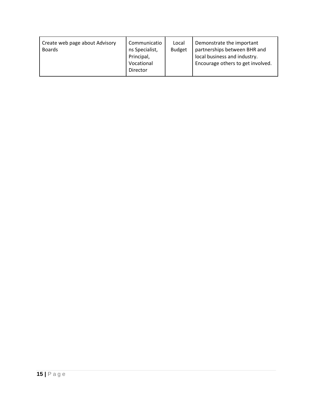| Create web page about Advisory<br><b>Boards</b> | Communicatio<br>ns Specialist,<br>Principal,<br>Vocational<br>Director | Local<br><b>Budget</b> | Demonstrate the important<br>partnerships between BHR and<br>local business and industry.<br>Encourage others to get involved. |
|-------------------------------------------------|------------------------------------------------------------------------|------------------------|--------------------------------------------------------------------------------------------------------------------------------|
|-------------------------------------------------|------------------------------------------------------------------------|------------------------|--------------------------------------------------------------------------------------------------------------------------------|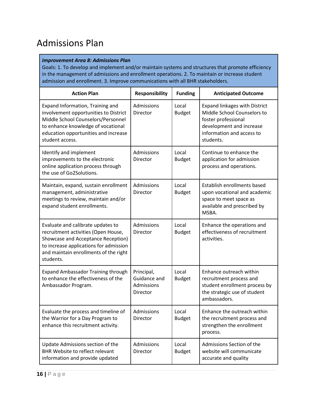### <span id="page-15-0"></span>Admissions Plan

#### *Improvement Area 8: Admissions Plan*

Goals: 1. To develop and implement and/or maintain systems and structures that promote efficiency in the management of admissions and enrollment operations. 2. To maintain or increase student admission and enrollment. 3. Improve communications with all BHR stakeholders.

| <b>Action Plan</b>                                                                                                                                                                                               | <b>Responsibility</b>                                | <b>Funding</b>         | <b>Anticipated Outcome</b>                                                                                                                                       |
|------------------------------------------------------------------------------------------------------------------------------------------------------------------------------------------------------------------|------------------------------------------------------|------------------------|------------------------------------------------------------------------------------------------------------------------------------------------------------------|
| Expand Information, Training and<br>involvement opportunities to District<br>Middle School Counselors/Personnel<br>to enhance knowledge of vocational<br>education opportunities and increase<br>student access. | Admissions<br>Director                               | Local<br><b>Budget</b> | <b>Expand linkages with District</b><br>Middle School Counselors to<br>foster professional<br>development and increase<br>information and access to<br>students. |
| Identify and implement<br>improvements to the electronic<br>online application process through<br>the use of Go2Solutions.                                                                                       | Admissions<br>Director                               | Local<br><b>Budget</b> | Continue to enhance the<br>application for admission<br>process and operations.                                                                                  |
| Maintain, expand, sustain enrollment<br>management, administrative<br>meetings to review, maintain and/or<br>expand student enrollments.                                                                         | Admissions<br>Director                               | Local<br><b>Budget</b> | Establish enrollments based<br>upon vocational and academic<br>space to meet space as<br>available and prescribed by<br>MSBA.                                    |
| Evaluate and calibrate updates to<br>recruitment activities (Open House,<br>Showcase and Acceptance Reception)<br>to increase applications for admission<br>and maintain enrollments of the right<br>students.   | Admissions<br>Director                               | Local<br><b>Budget</b> | Enhance the operations and<br>effectiveness of recruitment<br>activities.                                                                                        |
| <b>Expand Ambassador Training through</b><br>to enhance the effectiveness of the<br>Ambassador Program.                                                                                                          | Principal,<br>Guidance and<br>Admissions<br>Director | Local<br><b>Budget</b> | Enhance outreach within<br>recruitment process and<br>student enrollment process by<br>the strategic use of student<br>ambassadors.                              |
| Evaluate the process and timeline of<br>the Warrior for a Day Program to<br>enhance this recruitment activity.                                                                                                   | Admissions<br>Director                               | Local<br><b>Budget</b> | Enhance the outreach within<br>the recruitment process and<br>strengthen the enrollment<br>process.                                                              |
| Update Admissions section of the<br><b>BHR Website to reflect relevant</b><br>information and provide updated                                                                                                    | Admissions<br>Director                               | Local<br><b>Budget</b> | Admissions Section of the<br>website will communicate<br>accurate and quality                                                                                    |